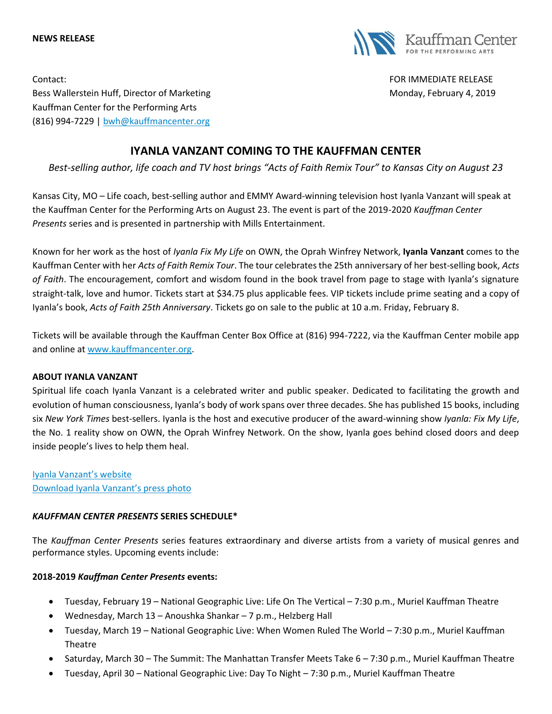#### **NEWS RELEASE**



Contact: FOR IMMEDIATE RELEASE Bess Wallerstein Huff, Director of Marketing Monday, February 4, 2019 Kauffman Center for the Performing Arts (816) 994-7229 | [bwh@kauffmancenter.org](mailto:bwh@kauffmancenter.org)

# **IYANLA VANZANT COMING TO THE KAUFFMAN CENTER**

*Best-selling author, life coach and TV host brings "Acts of Faith Remix Tour" to Kansas City on August 23*

Kansas City, MO – Life coach, best-selling author and EMMY Award-winning television host Iyanla Vanzant will speak at the Kauffman Center for the Performing Arts on August 23. The event is part of the 2019-2020 *Kauffman Center Presents* series and is presented in partnership with Mills Entertainment.

Known for her work as the host of *Iyanla Fix My Life* on OWN, the Oprah Winfrey Network, **Iyanla Vanzant** comes to the Kauffman Center with her *Acts of Faith Remix Tour*. The tour celebrates the 25th anniversary of her best-selling book, *Acts of Faith*. The encouragement, comfort and wisdom found in the book travel from page to stage with Iyanla's signature straight-talk, love and humor. Tickets start at \$34.75 plus applicable fees. VIP tickets include prime seating and a copy of Iyanla's book, *Acts of Faith 25th Anniversary*. Tickets go on sale to the public at 10 a.m. Friday, February 8.

Tickets will be available through the Kauffman Center Box Office at (816) 994-7222, via the Kauffman Center mobile app and online at [www.kauffmancenter.org.](http://www.kauffmancenter.org/)

### **ABOUT IYANLA VANZANT**

Spiritual life coach Iyanla Vanzant is a celebrated writer and public speaker. Dedicated to facilitating the growth and evolution of human consciousness, Iyanla's body of work spans over three decades. She has published 15 books, including six *New York Times* best-sellers. Iyanla is the host and executive producer of the award-winning show *Iyanla: Fix My Life*, the No. 1 reality show on OWN, the Oprah Winfrey Network. On the show, Iyanla goes behind closed doors and deep inside people's lives to help them heal.

[Iyanla Vanzant's website](https://iyanla.co/) [Download Iyanla Vanzant's press photo](https://www.flickr.com/photos/kauffmancenter/46215723944/in/album-72157705313563424/)

### *KAUFFMAN CENTER PRESENTS* **SERIES SCHEDULE\***

The *Kauffman Center Presents* series features extraordinary and diverse artists from a variety of musical genres and performance styles. Upcoming events include:

### **2018-2019** *Kauffman Center Presents* **events:**

- Tuesday, February 19 National Geographic Live: Life On The Vertical 7:30 p.m., Muriel Kauffman Theatre
- Wednesday, March 13 Anoushka Shankar 7 p.m., Helzberg Hall
- Tuesday, March 19 National Geographic Live: When Women Ruled The World 7:30 p.m., Muriel Kauffman Theatre
- Saturday, March 30 The Summit: The Manhattan Transfer Meets Take 6 7:30 p.m., Muriel Kauffman Theatre
- Tuesday, April 30 National Geographic Live: Day To Night 7:30 p.m., Muriel Kauffman Theatre